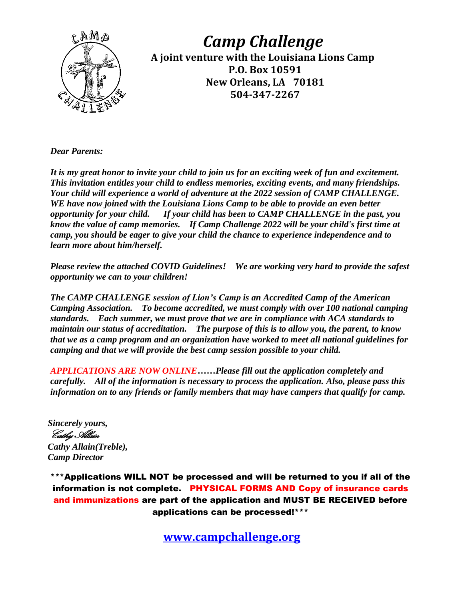

*Camp Challenge* **A joint venture with the Louisiana Lions Camp P.O. Box 10591 New Orleans, LA 70181 504-347-2267**

*Dear Parents:*

*It is my great honor to invite your child to join us for an exciting week of fun and excitement. This invitation entitles your child to endless memories, exciting events, and many friendships. Your child will experience a world of adventure at the 2022 session of CAMP CHALLENGE. WE have now joined with the Louisiana Lions Camp to be able to provide an even better opportunity for your child. If your child has been to CAMP CHALLENGE in the past, you know the value of camp memories. If Camp Challenge 2022 will be your child's first time at camp, you should be eager to give your child the chance to experience independence and to learn more about him/herself.*

*Please review the attached COVID Guidelines! We are working very hard to provide the safest opportunity we can to your children!*

*The CAMP CHALLENGE session of Lion's Camp is an Accredited Camp of the American Camping Association. To become accredited, we must comply with over 100 national camping standards. Each summer, we must prove that we are in compliance with ACA standards to maintain our status of accreditation. The purpose of this is to allow you, the parent, to know that we as a camp program and an organization have worked to meet all national guidelines for camping and that we will provide the best camp session possible to your child.*

*APPLICATIONS ARE NOW ONLINE……Please fill out the application completely and carefully. All of the information is necessary to process the application. Also, please pass this information on to any friends or family members that may have campers that qualify for camp.*

*Sincerely yours,* Cathy Allain

*Cathy Allain(Treble), Camp Director*

\*\*\*Applications WILL NOT be processed and will be returned to you if all of the information is not complete. PHYSICAL FORMS AND Copy of insurance cards and immunizations are part of the application and MUST BE RECEIVED before applications can be processed!\*\*\*

**[www.campchallenge.org](http://www.campchallenge.org/)**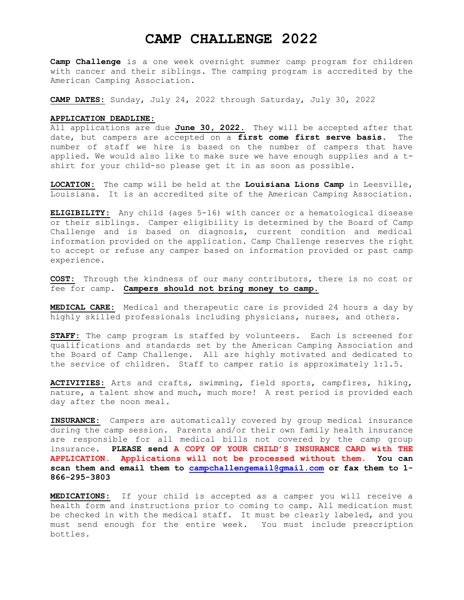# **CAMP CHALLENGE 2022**

**Camp Challenge** is a one week overnight summer camp program for children with cancer and their siblings. The camping program is accredited by the American Camping Association.

**CAMP DATES:** Sunday, July 24, 2022 through Saturday, July 30, 2022

## **APPLICATION DEADLINE:**

All applications are due **June 30, 2022**. They will be accepted after that date, but campers are accepted on a **first come first serve basis**. The number of staff we hire is based on the number of campers that have applied. We would also like to make sure we have enough supplies and a tshirt for your child-so please get it in as soon as possible.

**LOCATION:** The camp will be held at the **Louisiana Lions Camp** in Leesville, Louisiana. It is an accredited site of the American Camping Association.

**ELIGIBILITY:** Any child (ages 5-16) with cancer or a hematological disease or their siblings. Camper eligibility is determined by the Board of Camp Challenge and is based on diagnosis, current condition and medical information provided on the application. Camp Challenge reserves the right to accept or refuse any camper based on information provided or past camp experience.

**COST:** Through the kindness of our many contributors, there is no cost or fee for camp. **Campers should not bring money to camp**.

**MEDICAL CARE:** Medical and therapeutic care is provided 24 hours a day by highly skilled professionals including physicians, nurses, and others.

**STAFF:** The camp program is staffed by volunteers. Each is screened for qualifications and standards set by the American Camping Association and the Board of Camp Challenge. All are highly motivated and dedicated to the service of children. Staff to camper ratio is approximately 1:1.5.

**ACTIVITIES:** Arts and crafts, swimming, field sports, campfires, hiking, nature, a talent show and much, much more! A rest period is provided each day after the noon meal.

**INSURANCE:** Campers are automatically covered by group medical insurance during the camp session. Parents and/or their own family health insurance are responsible for all medical bills not covered by the camp group insurance. **PLEASE send A COPY OF YOUR CHILD'S INSURANCE CARD with THE APPLICATION. Applications will not be processed without them. You can scan them and email them to [campchallengemail@gmail.com](mailto:campdirector@campchallenge.org) or fax them to 1- 866-295-3803**

**MEDICATIONS:** If your child is accepted as a camper you will receive a health form and instructions prior to coming to camp. All medication must be checked in with the medical staff. It must be clearly labeled, and you must send enough for the entire week. You must include prescription bottles.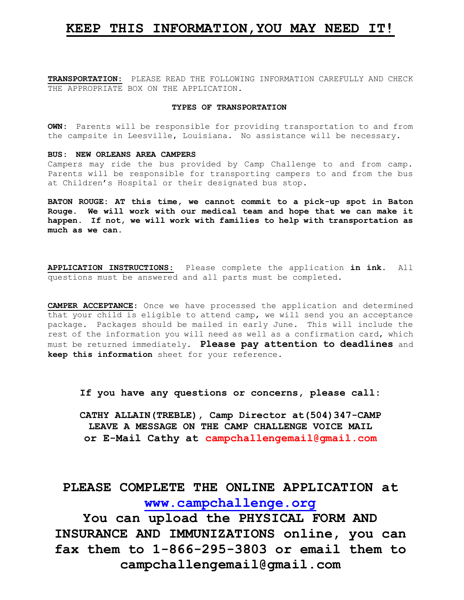# **KEEP THIS INFORMATION,YOU MAY NEED IT!**

**TRANSPORTATION:** PLEASE READ THE FOLLOWING INFORMATION CAREFULLY AND CHECK THE APPROPRIATE BOX ON THE APPLICATION.

## **TYPES OF TRANSPORTATION**

**OWN:** Parents will be responsible for providing transportation to and from the campsite in Leesville, Louisiana. No assistance will be necessary.

## **BUS: NEW ORLEANS AREA CAMPERS**

Campers may ride the bus provided by Camp Challenge to and from camp. Parents will be responsible for transporting campers to and from the bus at Children's Hospital or their designated bus stop.

**BATON ROUGE: AT this time, we cannot commit to a pick-up spot in Baton Rouge. We will work with our medical team and hope that we can make it happen. If not, we will work with families to help with transportation as much as we can.**

**APPLICATION INSTRUCTIONS:** Please complete the application **in ink**. All questions must be answered and all parts must be completed.

**CAMPER ACCEPTANCE**: Once we have processed the application and determined that your child is eligible to attend camp, we will send you an acceptance package. Packages should be mailed in early June. This will include the rest of the information you will need as well as a confirmation card, which must be returned immediately. **Please pay attention to deadlines** and **keep this information** sheet for your reference.

**If you have any questions or concerns, please call:**

**CATHY ALLAIN(TREBLE), Camp Director at(504)347-CAMP LEAVE A MESSAGE ON THE CAMP CHALLENGE VOICE MAIL or E-Mail Cathy at campchallengemail@gmail.com**

# **PLEASE COMPLETE THE ONLINE APPLICATION at [www.campchallenge.org](http://www.campchallenge.org/)**

**You can upload the PHYSICAL FORM AND INSURANCE AND IMMUNIZATIONS online, you can fax them to 1-866-295-3803 or email them to campchallengemail@gmail.com**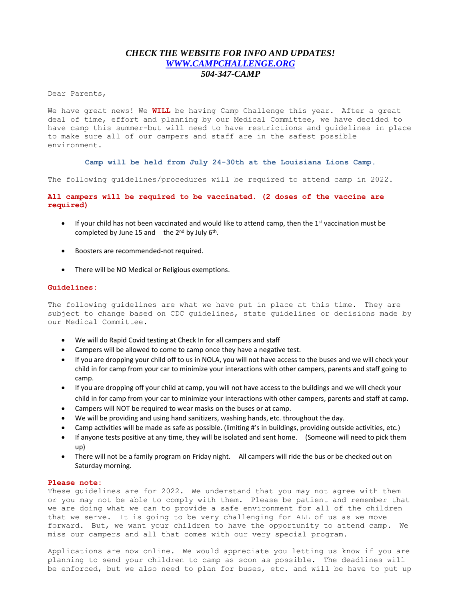# *CHECK THE WEBSITE FOR INFO AND UPDATES! [WWW.CAMPCHALLENGE.ORG](http://www.campchallenge.org/) 504-347-CAMP*

Dear Parents,

We have great news! We **WILL** be having Camp Challenge this year. After a great deal of time, effort and planning by our Medical Committee, we have decided to have camp this summer-but will need to have restrictions and guidelines in place to make sure all of our campers and staff are in the safest possible environment.

**Camp will be held from July 24-30th at the Louisiana Lions Camp.**

The following guidelines/procedures will be required to attend camp in 2022.

# **All campers will be required to be vaccinated. (2 doses of the vaccine are required)**

- $\bullet$  If your child has not been vaccinated and would like to attend camp, then the 1<sup>st</sup> vaccination must be completed by June 15 and the  $2^{nd}$  by July  $6^{th}$ .
- Boosters are recommended-not required.
- There will be NO Medical or Religious exemptions.

#### **Guidelines:**

The following guidelines are what we have put in place at this time. They are subject to change based on CDC guidelines, state guidelines or decisions made by our Medical Committee.

- We will do Rapid Covid testing at Check In for all campers and staff
- Campers will be allowed to come to camp once they have a negative test.
- If you are dropping your child off to us in NOLA, you will not have access to the buses and we will check your child in for camp from your car to minimize your interactions with other campers, parents and staff going to camp.
- If you are dropping off your child at camp, you will not have access to the buildings and we will check your child in for camp from your car to minimize your interactions with other campers, parents and staff at camp.
- Campers will NOT be required to wear masks on the buses or at camp.
- We will be providing and using hand sanitizers, washing hands, etc. throughout the day.
- Camp activities will be made as safe as possible. (limiting #'s in buildings, providing outside activities, etc.)
- If anyone tests positive at any time, they will be isolated and sent home. (Someone will need to pick them up)
- There will not be a family program on Friday night. All campers will ride the bus or be checked out on Saturday morning.

## **Please note:**

These guidelines are for 2022. We understand that you may not agree with them or you may not be able to comply with them. Please be patient and remember that we are doing what we can to provide a safe environment for all of the children that we serve. It is going to be very challenging for ALL of us as we move forward. But, we want your children to have the opportunity to attend camp. We miss our campers and all that comes with our very special program.

Applications are now online. We would appreciate you letting us know if you are planning to send your children to camp as soon as possible. The deadlines will be enforced, but we also need to plan for buses, etc. and will be have to put up